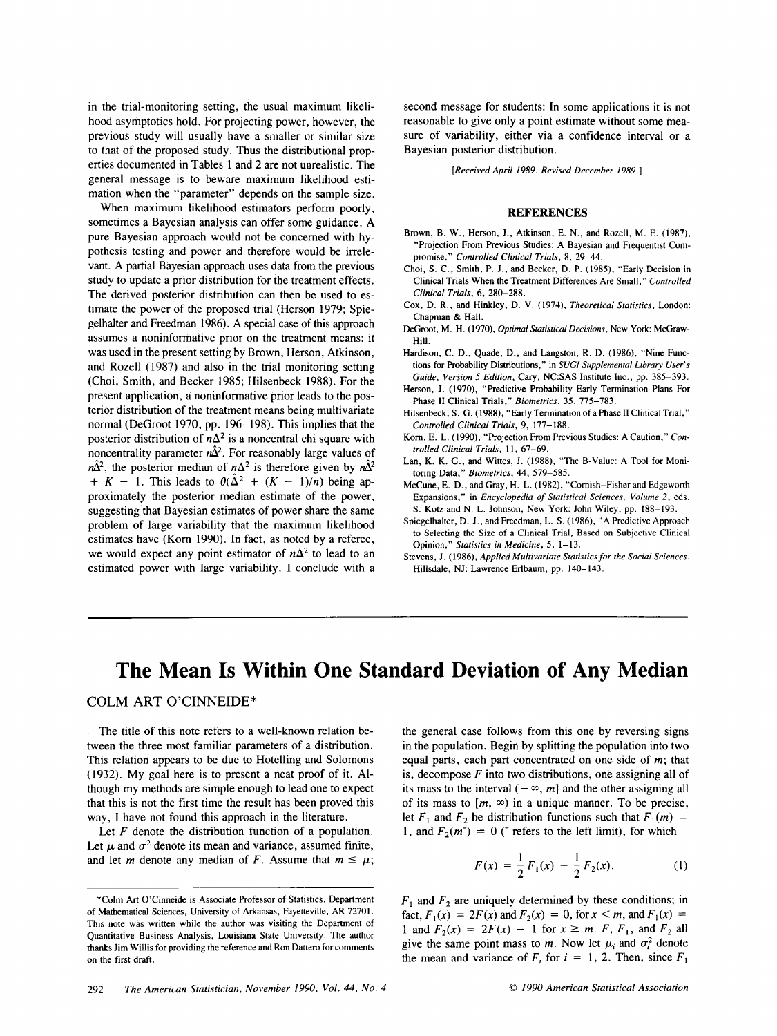in the trial-monitoring setting, the usual maximum likelihood asymptotics hold. For projecting power, however, the previous study will usually have a smaller or similar size to that of the proposed study. Thus the distributional propin the trial-monitoring setting, the usual maximum likeli-<br>hood asymptotics hold. For projecting power, however, the<br>previous study will usually have a smaller or similar size<br>to that of the proposed study. Thus the distri general message is to beware maximum likelihood estimation when the "parameter" depends on the sample size.

When maximum likelihood estimators perform poorly, sometimes a Bayesian analysis can offer some guidance. A pure Bayesian approach would not be concerned with hy-<br>erties documented in Tables 1 and 2 are not unrealistic. The<br>mation when the "parameter" depends on the sample size.<br>When maximum likelihood estimators perform poorly, pothesis testing and power and therefore would be irrelevant. A partial Bayesian approach uses data from the previous study to update a prior distribution for the treatment effects. The derived posterior distribution can then be used to estimate the power of the proposed trial (Herson 1979; Spiegelhalter and Freedman 1986). A special case of this approach assumes a noninformative prior on the treatment means; it was used in the present setting by Brown, Herson, Atkinson, and Rozell (1987) and also in the trial monitoring setting The control of the proposed trial (Herson 1979; Spiecon, D. R., and Hinkley, D. V. (1974), Theoretical Statistics, London:<br>
deplhalter and Freedoman 1986). A special case of this approach<br>
assumes a noniformative prior on present application, a noninformative prior leads to the posterior distribution of the treatment means being multivariate normal (DeGroot 1970, pp. 196-198). This implies that the posterior distribution of  $n\Delta^2$  is a noncentral chi square with noncentrality parameter  $n\hat{\Delta}^2$ . For reasonably large values of  $n\hat{\Delta}^2$ , the posterior median of  $n\Delta^2$  is therefore given by  $n\hat{\Delta}^2$ +  $K - 1$ . This leads to  $\theta(\hat{\Delta}^2 + (K - 1)/n)$  being approximately the posterior median estimate of the power, suggesting that Bayesian estimates of power share the same problem of large variability that the maximum likelihood estimates have (Korn 1990). In fact, as noted by a referee, we would expect any point estimator of  $n\Delta^2$  to lead to an estimated power with large variability. **I** conclude with a

second message for students: In some applications it is not reasonable to give only a point estimate without some measure of variability, either via a confidence interval or a Bayesian posterior distribution.

*[Received April 1989. Revised December 1989.1* 

## **REFERENCES**

- Brown, B. W., Herson, J., Atkinson, E. N., and Rozell, M. E. (1987). "Projection From Previous Studies: A Bayesian and Frequentist Compromise." *Controlled Clinical Trials,* 8, 29-44.
- Choi, S. C., Smith, P. J., and Becker, D. P. (1985), "Early Decision in Clinical Trials When the Treatment Differences Are Small," *Controlled Clinical Trials,* 6, 280-288. Choi, S. C., Smith, P. J., and Becker, D. P. (1985), "Early Decision in<br>
Clinical Trials, 6, 280–288.<br>
Cox, D. R., and Hinkley, D. V. (1974), *Theoretical Statistics*, London:<br>
Chapman & Hall.<br>
DeGroot, M. H. (1970), *Opti*
- Cox, D. R., and Hinkley, D. V. (1974), *Theoretical Statistics*, London: Chapman & Hall.<br>DeGroot, M. H. (1970), Optimal Statistical Decisions, New York: McGraw-
- Hill.
- Hardison, C. D., Quade, D., and Langston, R. D. (1986), "Nine Functions for Probability Distributions," in *SUGI Supplemental Library User's Guide, Version 5 Edition,* Cary, NC:SAS Institute Inc., pp. 385-393.
- Herson, J. (1970), "Predictive Probability Early Termination Plans For Phase I1 Clinical Trials," *Biomerrics,* 35, 775-783.
- Hilsenbeck, S. G. (1988), "Early Termination of a Phase **I1** Clinical Trial," *Controlled Clinical Trials,* 9, 177- 188.
- Korn, E. L. (1990). "Projection From Previous Studies: A Caution," Con*rson, J. (1970), "Predictive Probability Early Termination Plans For Phase II Clinical Trials," <i>Biometrics, 35, 775–783.*<br> *lsenbeck, S. G. (1988), "Early Termination of a Phase II Clinical Trial,"*<br> *Controlled Clinical*
- Lan, K. K. G., and Wittes, J. (1988), "The B-Value: A Tool for Monitoring Data," *Biomefrics,* 44, 579-585.
- McCune, E. D., and Gray, H. L. (1982). "Cornish-Fisher and Edgeworth Expansions," in *Encyclopedia of Srafisrical Sciences, Volume* 2, eds. S. Kotz and N. L. Johnson, New York: John Wiley, pp. 188-193.
- Spiegelhalter, D. J., and Freedman, L. S. (1986), "A Predictive Approach to Selecting the Size of **a** Clinical Trial, Based on Subjective Clinical Opinion," *Staristics in Medicine, 5,* 1-13.
- Stevens, J. (1986), *Applied Multivariate Statistics for the Social Sciences,*  Hillsdale, NJ: Lawrence Erlbaum, pp. 140- 143.

# **The Mean Is Within One Standard Deviation of Any Median**

COLM **ART** O'CINNEIDE"

The title of this note refers to a well-known relation between the three most familiar parameters of a distribution. This relation appears to be due to Hotelling and Solomons **(1932).** My goal here is to present a neat proof of it. Although my methods are simple enough to lead one to expect that this is not the first time the result has been proved this way, I have not found this approach in the literature.

Let *F* denote the distribution function of a population.

This ideal appears to be due to flocking and solonions equal pairs, each part concernated on one state of m, that (1932). My goal here is to present a neat proof of it. Altimating its, decompose F into two distributions, and though my methods are simple enough to lead one to expect<br>though my methods are simple enough to lead one to expect<br>that this is not the first time the result has been proved this<br>way, I have not found this approach i the general case follows from this one by reversing signs in the population. Begin by splitting the population into two equal parts, each part concentrated on one side of m; that is, decompose *F* into two distributions, one assigning all of its mass to the interval  $(-\infty, m]$  and the other assigning all of its mass to  $[m, \infty)$  in a unique manner. To be precise, let  $F_1$  and  $F_2$  be distribution functions such that  $F_1(m) =$ 1, and  $F_2(m^-) = 0$  ( $\bar{\ }$  refers to the left limit), for which

$$
F(x) = \frac{1}{2}F_1(x) + \frac{1}{2}F_2(x).
$$
 (1)

 $F_1$  and  $F_2$  are uniquely determined by these conditions; in fact,  $F_1(x) = 2F(x)$  and  $F_2(x) = 0$ , for  $x < m$ , and  $F_1(x) =$  $F_1$  and  $F_2$  are uniquely determined by these conditions; in<br>fact,  $F_1(x) = 2F(x)$  and  $F_2(x) = 0$ , for  $x < m$ , and  $F_1(x) = 1$  and  $F_2(x) = 2F(x) - 1$  for  $x \ge m$ .  $F$ ,  $F_1$ , and  $F_2$  all<br>give the same point mass to  $m$ . Now give the same point mass to *m*. Now let  $\mu_i$  and  $\sigma_i^2$  denote the mean and variance of  $F_i$  i for *i* **i i i i i i i z** *i f i i f i f i f i f z <b>z <i>f z <i>i* **<b>***<i>x f <i>z f <i>f <i>f <i>f <i>f <i>f <i>f <i>f* 

<sup>\*</sup>Colm Art O'Cinneide is Associate Professor of Statistics, Department of Mathematical Sciences, University of Arkansas, Fayetteville, AR 72701. This note was written while the author was visiting the Department of Quantitative Business Analysis, Louisiana State University. The author thanks Jim Willis for providing the reference and Ron Dattero for comments on the first draft.